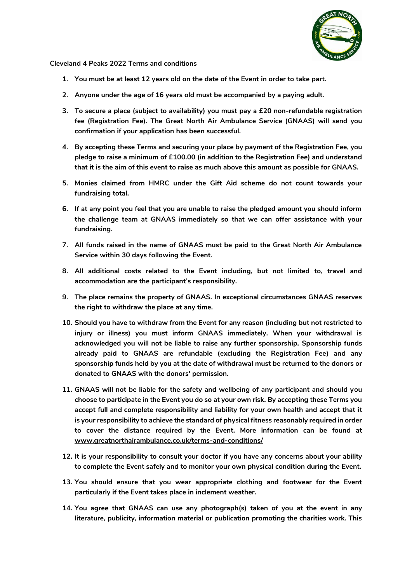

## **Cleveland 4 Peaks 2022 Terms and conditions**

- **1. You must be at least 12 years old on the date of the Event in order to take part.**
- **2. Anyone under the age of 16 years old must be accompanied by a paying adult.**
- **3. To secure a place (subject to availability) you must pay a £20 non-refundable registration fee (Registration Fee). The Great North Air Ambulance Service (GNAAS) will send you confirmation if your application has been successful.**
- **4. By accepting these Terms and securing your place by payment of the Registration Fee, you pledge to raise a minimum of £100.00 (in addition to the Registration Fee) and understand that it is the aim of this event to raise as much above this amount as possible for GNAAS.**
- **5. Monies claimed from HMRC under the Gift Aid scheme do not count towards your fundraising total.**
- **6. If at any point you feel that you are unable to raise the pledged amount you should inform the challenge team at GNAAS immediately so that we can offer assistance with your fundraising.**
- **7. All funds raised in the name of GNAAS must be paid to the Great North Air Ambulance Service within 30 days following the Event.**
- **8. All additional costs related to the Event including, but not limited to, travel and accommodation are the participant's responsibility.**
- **9. The place remains the property of GNAAS. In exceptional circumstances GNAAS reserves the right to withdraw the place at any time.**
- **10. Should you have to withdraw from the Event for any reason (including but not restricted to injury or illness) you must inform GNAAS immediately. When your withdrawal is acknowledged you will not be liable to raise any further sponsorship. Sponsorship funds already paid to GNAAS are refundable (excluding the Registration Fee) and any sponsorship funds held by you at the date of withdrawal must be returned to the donors or donated to GNAAS with the donors' permission.**
- **11. GNAAS will not be liable for the safety and wellbeing of any participant and should you choose to participate in the Event you do so at your own risk. By accepting these Terms you accept full and complete responsibility and liability for your own health and accept that it is your responsibility to achieve the standard of physical fitness reasonably required in order to cover the distance required by the Event. More information can be found at [www.greatnorthairambulance.co.uk/terms-and-conditions/](http://www.greatnorthairambulance.co.uk/terms-and-conditions/)**
- **12. It is your responsibility to consult your doctor if you have any concerns about your ability to complete the Event safely and to monitor your own physical condition during the Event.**
- **13. You should ensure that you wear appropriate clothing and footwear for the Event particularly if the Event takes place in inclement weather.**
- **14. You agree that GNAAS can use any photograph(s) taken of you at the event in any literature, publicity, information material or publication promoting the charities work. This**